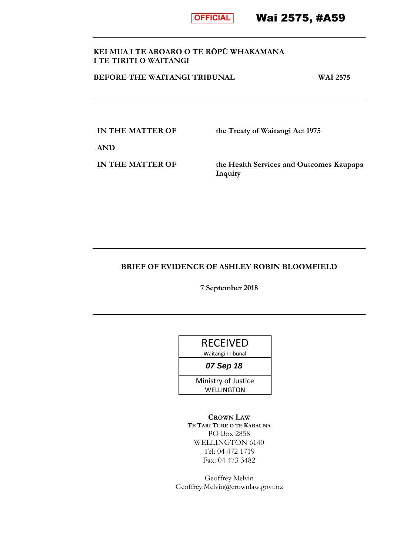

Wai 2575, #A59

# **KEI MUA I TE AROARO O TE RŌPŪ WHAKAMANA I TE TIRITI O WAITANGI**

**BEFORE THE WAITANGI TRIBUNAL WAI 2575** 

**IN THE MATTER OF the Treaty of Waitangi Act 1975** 

**AND**

**IN THE MATTER OF the Health Services and Outcomes Kaupapa Inquiry**

# **BRIEF OF EVIDENCE OF ASHLEY ROBIN BLOOMFIELD**

**7 September 2018** 

Waitangi Tribunal

**07 Sep 18**

Ministry of Justice **WELLINGTON** 

**CROWN LAW TE TARI TURE O TE KARAUNA** PO Box 2858 WELLINGTON 6140 Tel: 04 472 1719 Fax: 04 473 3482

Geoffrey Melvin Geoffrey.Melvin@crownlaw.govt.nz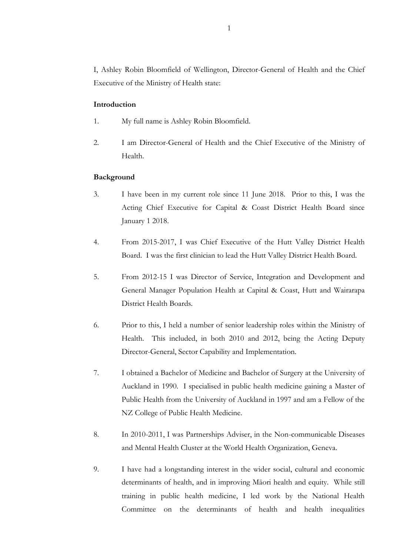I, Ashley Robin Bloomfield of Wellington, Director-General of Health and the Chief Executive of the Ministry of Health state:

## **Introduction**

- 1. My full name is Ashley Robin Bloomfield.
- 2. I am Director-General of Health and the Chief Executive of the Ministry of Health.

## **Background**

- 3. I have been in my current role since 11 June 2018. Prior to this, I was the Acting Chief Executive for Capital & Coast District Health Board since January 1 2018.
- 4. From 2015-2017, I was Chief Executive of the Hutt Valley District Health Board. I was the first clinician to lead the Hutt Valley District Health Board.
- 5. From 2012-15 I was Director of Service, Integration and Development and General Manager Population Health at Capital & Coast, Hutt and Wairarapa District Health Boards.
- 6. Prior to this, I held a number of senior leadership roles within the Ministry of Health. This included, in both 2010 and 2012, being the Acting Deputy Director-General, Sector Capability and Implementation.
- 7. I obtained a Bachelor of Medicine and Bachelor of Surgery at the University of Auckland in 1990. I specialised in public health medicine gaining a Master of Public Health from the University of Auckland in 1997 and am a Fellow of the NZ College of Public Health Medicine.
- 8. In 2010-2011, I was Partnerships Adviser, in the Non-communicable Diseases and Mental Health Cluster at the World Health Organization, Geneva.
- 9. I have had a longstanding interest in the wider social, cultural and economic determinants of health, and in improving Māori health and equity. While still training in public health medicine, I led work by the National Health Committee on the determinants of health and health inequalities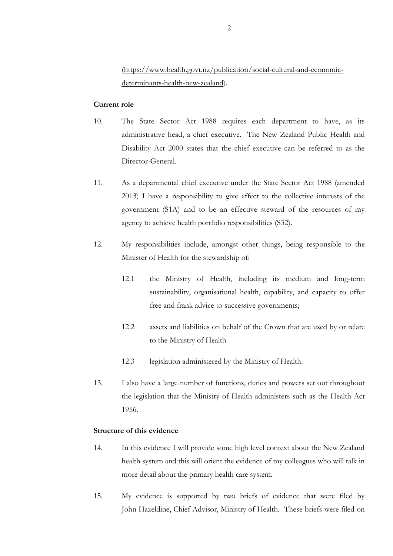[\(https://www.health.govt.nz/publication/social-cultural-and-economic](https://www.health.govt.nz/publication/social-cultural-and-economic-determinants-health-new-zealand)[determinants-health-new-zealand\)](https://www.health.govt.nz/publication/social-cultural-and-economic-determinants-health-new-zealand).

### **Current role**

- 10. The State Sector Act 1988 requires each department to have, as its administrative head, a chief executive. The New Zealand Public Health and Disability Act 2000 states that the chief executive can be referred to as the Director-General.
- 11. As a departmental chief executive under the State Sector Act 1988 (amended 2013) I have a responsibility to give effect to the collective interests of the government (S1A) and to be an effective steward of the resources of my agency to achieve health portfolio responsibilities (S32).
- 12. My responsibilities include, amongst other things, being responsible to the Minister of Health for the stewardship of:
	- 12.1 the Ministry of Health, including its medium and long-term sustainability, organisational health, capability, and capacity to offer free and frank advice to successive governments;
	- 12.2 assets and liabilities on behalf of the Crown that are used by or relate to the Ministry of Health
	- 12.3 legislation administered by the Ministry of Health.
- 13. I also have a large number of functions, duties and powers set out throughout the legislation that the Ministry of Health administers such as the Health Act 1956.

## **Structure of this evidence**

- 14. In this evidence I will provide some high level context about the New Zealand health system and this will orient the evidence of my colleagues who will talk in more detail about the primary health care system.
- 15. My evidence is supported by two briefs of evidence that were filed by John Hazeldine, Chief Advisor, Ministry of Health. These briefs were filed on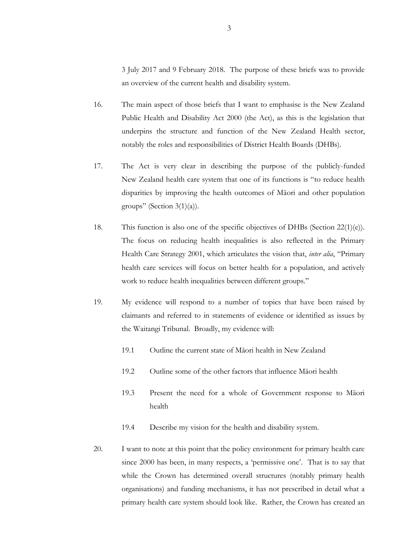3 July 2017 and 9 February 2018. The purpose of these briefs was to provide an overview of the current health and disability system.

- 16. The main aspect of those briefs that I want to emphasise is the New Zealand Public Health and Disability Act 2000 (the Act), as this is the legislation that underpins the structure and function of the New Zealand Health sector, notably the roles and responsibilities of District Health Boards (DHBs).
- 17. The Act is very clear in describing the purpose of the publicly-funded New Zealand health care system that one of its functions is "to reduce health disparities by improving the health outcomes of Māori and other population groups" (Section  $3(1)(a)$ ).
- 18. This function is also one of the specific objectives of DHBs (Section 22(1)(e)). The focus on reducing health inequalities is also reflected in the Primary Health Care Strategy 2001, which articulates the vision that, *inter alia*, "Primary health care services will focus on better health for a population, and actively work to reduce health inequalities between different groups."
- 19. My evidence will respond to a number of topics that have been raised by claimants and referred to in statements of evidence or identified as issues by the Waitangi Tribunal. Broadly, my evidence will:
	- 19.1 Outline the current state of Māori health in New Zealand
	- 19.2 Outline some of the other factors that influence Māori health
	- 19.3 Present the need for a whole of Government response to Māori health
	- 19.4 Describe my vision for the health and disability system.
- 20. I want to note at this point that the policy environment for primary health care since 2000 has been, in many respects, a 'permissive one'. That is to say that while the Crown has determined overall structures (notably primary health organisations) and funding mechanisms, it has not prescribed in detail what a primary health care system should look like. Rather, the Crown has created an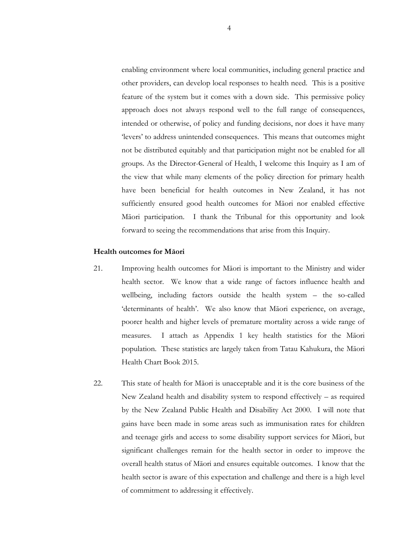enabling environment where local communities, including general practice and other providers, can develop local responses to health need. This is a positive feature of the system but it comes with a down side. This permissive policy approach does not always respond well to the full range of consequences, intended or otherwise, of policy and funding decisions, nor does it have many 'levers' to address unintended consequences. This means that outcomes might not be distributed equitably and that participation might not be enabled for all groups. As the Director-General of Health, I welcome this Inquiry as I am of the view that while many elements of the policy direction for primary health have been beneficial for health outcomes in New Zealand, it has not sufficiently ensured good health outcomes for Māori nor enabled effective Māori participation. I thank the Tribunal for this opportunity and look forward to seeing the recommendations that arise from this Inquiry.

### **Health outcomes for Māori**

- 21. Improving health outcomes for Māori is important to the Ministry and wider health sector. We know that a wide range of factors influence health and wellbeing, including factors outside the health system – the so-called 'determinants of health'. We also know that Māori experience, on average, poorer health and higher levels of premature mortality across a wide range of measures. I attach as Appendix 1 key health statistics for the Māori population. These statistics are largely taken from Tatau Kahukura, the Māori Health Chart Book 2015.
- 22. This state of health for Māori is unacceptable and it is the core business of the New Zealand health and disability system to respond effectively – as required by the New Zealand Public Health and Disability Act 2000. I will note that gains have been made in some areas such as immunisation rates for children and teenage girls and access to some disability support services for Māori, but significant challenges remain for the health sector in order to improve the overall health status of Māori and ensures equitable outcomes. I know that the health sector is aware of this expectation and challenge and there is a high level of commitment to addressing it effectively.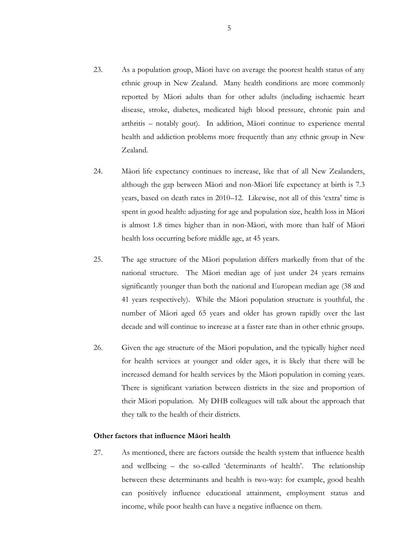- 23. As a population group, Māori have on average the poorest health status of any ethnic group in New Zealand. Many health conditions are more commonly reported by Māori adults than for other adults (including ischaemic heart disease, stroke, diabetes, medicated high blood pressure, chronic pain and arthritis – notably gout). In addition, Māori continue to experience mental health and addiction problems more frequently than any ethnic group in New Zealand.
- 24. Māori life expectancy continues to increase, like that of all New Zealanders, although the gap between Māori and non-Māori life expectancy at birth is 7.3 years, based on death rates in 2010–12. Likewise, not all of this 'extra' time is spent in good health: adjusting for age and population size, health loss in Māori is almost 1.8 times higher than in non-Māori, with more than half of Māori health loss occurring before middle age, at 45 years.
- 25. The age structure of the Māori population differs markedly from that of the national structure. The Māori median age of just under 24 years remains significantly younger than both the national and European median age (38 and 41 years respectively). While the Māori population structure is youthful, the number of Māori aged 65 years and older has grown rapidly over the last decade and will continue to increase at a faster rate than in other ethnic groups.
- 26. Given the age structure of the Māori population, and the typically higher need for health services at younger and older ages, it is likely that there will be increased demand for health services by the Māori population in coming years. There is significant variation between districts in the size and proportion of their Māori population. My DHB colleagues will talk about the approach that they talk to the health of their districts.

#### **Other factors that influence Māori health**

27. As mentioned, there are factors outside the health system that influence health and wellbeing – the so-called 'determinants of health'. The relationship between these determinants and health is two-way: for example, good health can positively influence educational attainment, employment status and income, while poor health can have a negative influence on them.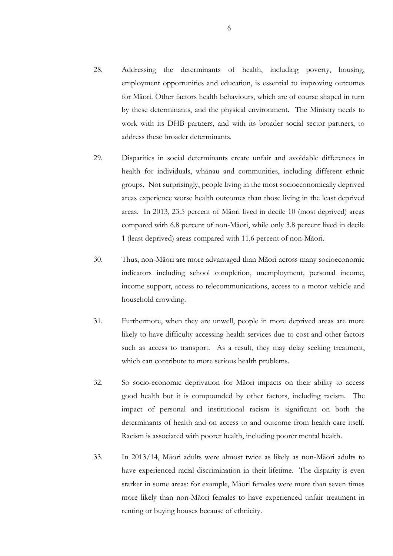- 28. Addressing the determinants of health, including poverty, housing, employment opportunities and education, is essential to improving outcomes for Māori. Other factors health behaviours, which are of course shaped in turn by these determinants, and the physical environment. The Ministry needs to work with its DHB partners, and with its broader social sector partners, to address these broader determinants.
- 29. Disparities in social determinants create unfair and avoidable differences in health for individuals, whānau and communities, including different ethnic groups. Not surprisingly, people living in the most socioeconomically deprived areas experience worse health outcomes than those living in the least deprived areas. In 2013, 23.5 percent of Māori lived in decile 10 (most deprived) areas compared with 6.8 percent of non-Māori, while only 3.8 percent lived in decile 1 (least deprived) areas compared with 11.6 percent of non-Māori.
- 30. Thus, non-Māori are more advantaged than Māori across many socioeconomic indicators including school completion, unemployment, personal income, income support, access to telecommunications, access to a motor vehicle and household crowding.
- 31. Furthermore, when they are unwell, people in more deprived areas are more likely to have difficulty accessing health services due to cost and other factors such as access to transport. As a result, they may delay seeking treatment, which can contribute to more serious health problems.
- 32. So socio-economic deprivation for Māori impacts on their ability to access good health but it is compounded by other factors, including racism. The impact of personal and institutional racism is significant on both the determinants of health and on access to and outcome from health care itself. Racism is associated with poorer health, including poorer mental health.
- 33. In 2013/14, Māori adults were almost twice as likely as non-Māori adults to have experienced racial discrimination in their lifetime. The disparity is even starker in some areas: for example, Māori females were more than seven times more likely than non-Māori females to have experienced unfair treatment in renting or buying houses because of ethnicity.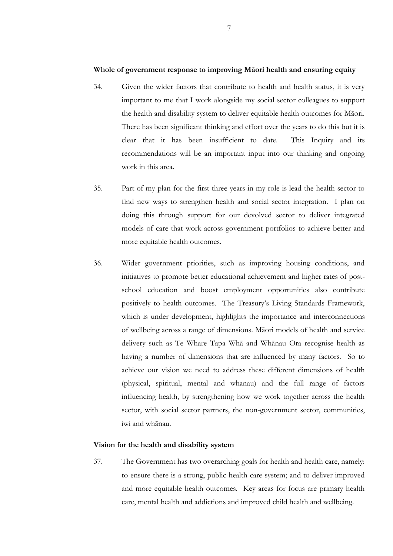## **Whole of government response to improving Māori health and ensuring equity**

- 34. Given the wider factors that contribute to health and health status, it is very important to me that I work alongside my social sector colleagues to support the health and disability system to deliver equitable health outcomes for Māori. There has been significant thinking and effort over the years to do this but it is clear that it has been insufficient to date. This Inquiry and its recommendations will be an important input into our thinking and ongoing work in this area.
- 35. Part of my plan for the first three years in my role is lead the health sector to find new ways to strengthen health and social sector integration. I plan on doing this through support for our devolved sector to deliver integrated models of care that work across government portfolios to achieve better and more equitable health outcomes.
- 36. Wider government priorities, such as improving housing conditions, and initiatives to promote better educational achievement and higher rates of postschool education and boost employment opportunities also contribute positively to health outcomes. The Treasury's Living Standards Framework, which is under development, highlights the importance and interconnections of wellbeing across a range of dimensions. Māori models of health and service delivery such as Te Whare Tapa Whā and Whānau Ora recognise health as having a number of dimensions that are influenced by many factors. So to achieve our vision we need to address these different dimensions of health (physical, spiritual, mental and whanau) and the full range of factors influencing health, by strengthening how we work together across the health sector, with social sector partners, the non-government sector, communities, iwi and whānau.

#### **Vision for the health and disability system**

37. The Government has two overarching goals for health and health care, namely: to ensure there is a strong, public health care system; and to deliver improved and more equitable health outcomes. Key areas for focus are primary health care, mental health and addictions and improved child health and wellbeing.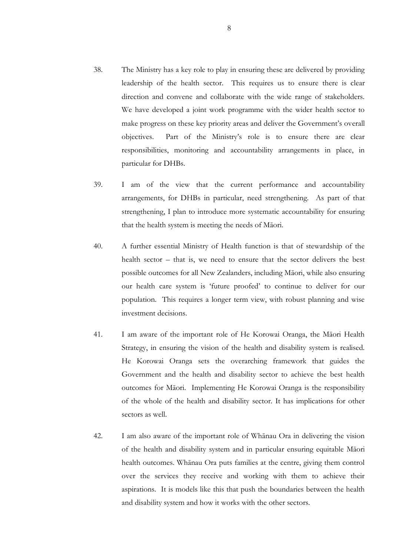- 38. The Ministry has a key role to play in ensuring these are delivered by providing leadership of the health sector. This requires us to ensure there is clear direction and convene and collaborate with the wide range of stakeholders. We have developed a joint work programme with the wider health sector to make progress on these key priority areas and deliver the Government's overall objectives. Part of the Ministry's role is to ensure there are clear responsibilities, monitoring and accountability arrangements in place, in particular for DHBs.
- 39. I am of the view that the current performance and accountability arrangements, for DHBs in particular, need strengthening. As part of that strengthening, I plan to introduce more systematic accountability for ensuring that the health system is meeting the needs of Māori.
- 40. A further essential Ministry of Health function is that of stewardship of the health sector – that is, we need to ensure that the sector delivers the best possible outcomes for all New Zealanders, including Māori, while also ensuring our health care system is 'future proofed' to continue to deliver for our population. This requires a longer term view, with robust planning and wise investment decisions.
- 41. I am aware of the important role of He Korowai Oranga, the Māori Health Strategy, in ensuring the vision of the health and disability system is realised. He Korowai Oranga sets the overarching framework that guides the Government and the health and disability sector to achieve the best health outcomes for Māori. Implementing He Korowai Oranga is the responsibility of the whole of the health and disability sector. It has implications for other sectors as well.
- 42. I am also aware of the important role of Whānau Ora in delivering the vision of the health and disability system and in particular ensuring equitable Māori health outcomes. Whānau Ora puts families at the centre, giving them control over the services they receive and working with them to achieve their aspirations. It is models like this that push the boundaries between the health and disability system and how it works with the other sectors.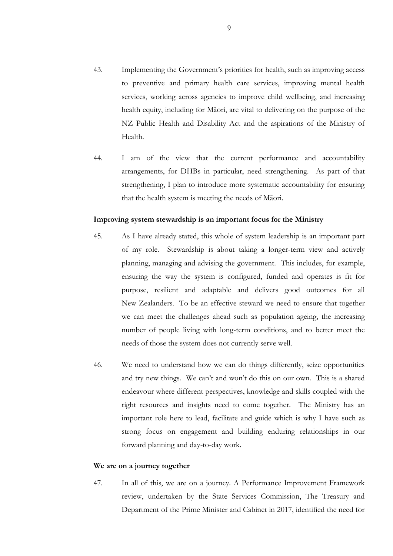- 43. Implementing the Government's priorities for health, such as improving access to preventive and primary health care services, improving mental health services, working across agencies to improve child wellbeing, and increasing health equity, including for Māori, are vital to delivering on the purpose of the NZ Public Health and Disability Act and the aspirations of the Ministry of Health.
- 44. I am of the view that the current performance and accountability arrangements, for DHBs in particular, need strengthening. As part of that strengthening, I plan to introduce more systematic accountability for ensuring that the health system is meeting the needs of Māori.

#### **Improving system stewardship is an important focus for the Ministry**

- 45. As I have already stated, this whole of system leadership is an important part of my role. Stewardship is about taking a longer-term view and actively planning, managing and advising the government. This includes, for example, ensuring the way the system is configured, funded and operates is fit for purpose, resilient and adaptable and delivers good outcomes for all New Zealanders. To be an effective steward we need to ensure that together we can meet the challenges ahead such as population ageing, the increasing number of people living with long-term conditions, and to better meet the needs of those the system does not currently serve well.
- 46. We need to understand how we can do things differently, seize opportunities and try new things. We can't and won't do this on our own. This is a shared endeavour where different perspectives, knowledge and skills coupled with the right resources and insights need to come together. The Ministry has an important role here to lead, facilitate and guide which is why I have such as strong focus on engagement and building enduring relationships in our forward planning and day-to-day work.

### **We are on a journey together**

47. In all of this, we are on a journey. A Performance Improvement Framework review, undertaken by the State Services Commission, The Treasury and Department of the Prime Minister and Cabinet in 2017, identified the need for